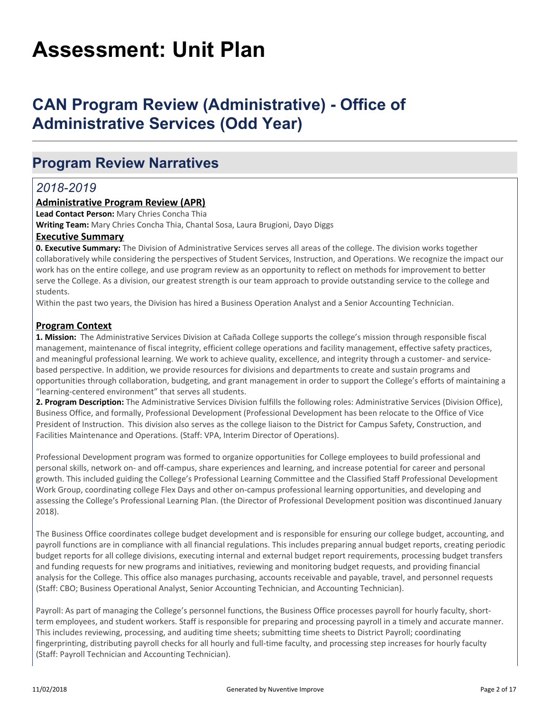# **Assessment: Unit Plan**

# **CAN Program Review (Administrative) - Office of Administrative Services (Odd Year)**

# **Program Review Narratives**

# *2018-2019*

## **Administrative Program Review (APR)**

**Lead Contact Person:** Mary Chries Concha Thia

**Writing Team:** Mary Chries Concha Thia, Chantal Sosa, Laura Brugioni, Dayo Diggs

### **Executive Summary**

**0. Executive Summary:** The Division of Administrative Services serves all areas of the college. The division works together collaboratively while considering the perspectives of Student Services, Instruction, and Operations. We recognize the impact our work has on the entire college, and use program review as an opportunity to reflect on methods for improvement to better serve the College. As a division, our greatest strength is our team approach to provide outstanding service to the college and students.

Within the past two years, the Division has hired a Business Operation Analyst and a Senior Accounting Technician.

### **Program Context**

**1. Mission:** The Administrative Services Division at Cañada College supports the college's mission through responsible fiscal management, maintenance of fiscal integrity, efficient college operations and facility management, effective safety practices, and meaningful professional learning. We work to achieve quality, excellence, and integrity through a customer- and servicebased perspective. In addition, we provide resources for divisions and departments to create and sustain programs and opportunities through collaboration, budgeting, and grant management in order to support the College's efforts of maintaining a "learning-centered environment" that serves all students.

**2. Program Description:** The Administrative Services Division fulfills the following roles: Administrative Services (Division Office), Business Office, and formally, Professional Development (Professional Development has been relocate to the Office of Vice President of Instruction. This division also serves as the college liaison to the District for Campus Safety, Construction, and Facilities Maintenance and Operations. (Staff: VPA, Interim Director of Operations).

Professional Development program was formed to organize opportunities for College employees to build professional and personal skills, network on- and off-campus, share experiences and learning, and increase potential for career and personal growth. This included guiding the College's Professional Learning Committee and the Classified Staff Professional Development Work Group, coordinating college Flex Days and other on-campus professional learning opportunities, and developing and assessing the College's Professional Learning Plan. (the Director of Professional Development position was discontinued January 2018).

The Business Office coordinates college budget development and is responsible for ensuring our college budget, accounting, and payroll functions are in compliance with all financial regulations. This includes preparing annual budget reports, creating periodic budget reports for all college divisions, executing internal and external budget report requirements, processing budget transfers and funding requests for new programs and initiatives, reviewing and monitoring budget requests, and providing financial analysis for the College. This office also manages purchasing, accounts receivable and payable, travel, and personnel requests (Staff: CBO; Business Operational Analyst, Senior Accounting Technician, and Accounting Technician).

Payroll: As part of managing the College's personnel functions, the Business Office processes payroll for hourly faculty, shortterm employees, and student workers. Staff is responsible for preparing and processing payroll in a timely and accurate manner. This includes reviewing, processing, and auditing time sheets; submitting time sheets to District Payroll; coordinating fingerprinting, distributing payroll checks for all hourly and full-time faculty, and processing step increases for hourly faculty (Staff: Payroll Technician and Accounting Technician).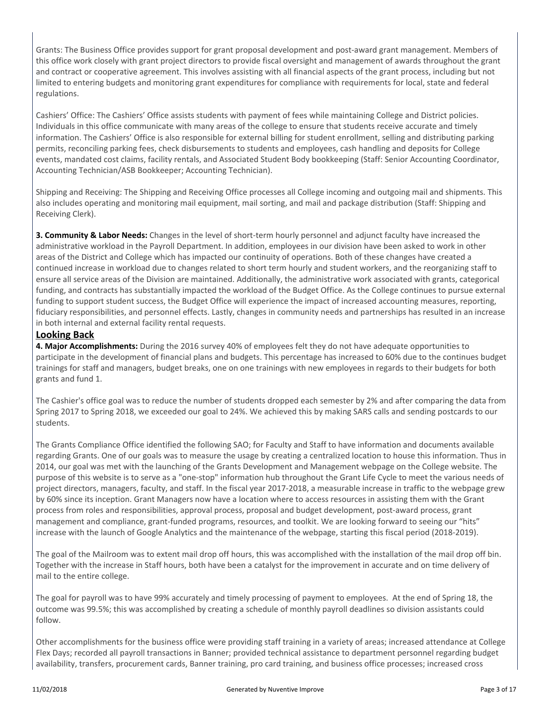Grants: The Business Office provides support for grant proposal development and post-award grant management. Members of this office work closely with grant project directors to provide fiscal oversight and management of awards throughout the grant and contract or cooperative agreement. This involves assisting with all financial aspects of the grant process, including but not limited to entering budgets and monitoring grant expenditures for compliance with requirements for local, state and federal regulations.

Cashiers' Office: The Cashiers' Office assists students with payment of fees while maintaining College and District policies. Individuals in this office communicate with many areas of the college to ensure that students receive accurate and timely information. The Cashiers' Office is also responsible for external billing for student enrollment, selling and distributing parking permits, reconciling parking fees, check disbursements to students and employees, cash handling and deposits for College events, mandated cost claims, facility rentals, and Associated Student Body bookkeeping (Staff: Senior Accounting Coordinator, Accounting Technician/ASB Bookkeeper; Accounting Technician).

Shipping and Receiving: The Shipping and Receiving Office processes all College incoming and outgoing mail and shipments. This also includes operating and monitoring mail equipment, mail sorting, and mail and package distribution (Staff: Shipping and Receiving Clerk).

**3. Community & Labor Needs:** Changes in the level of short-term hourly personnel and adjunct faculty have increased the administrative workload in the Payroll Department. In addition, employees in our division have been asked to work in other areas of the District and College which has impacted our continuity of operations. Both of these changes have created a continued increase in workload due to changes related to short term hourly and student workers, and the reorganizing staff to ensure all service areas of the Division are maintained. Additionally, the administrative work associated with grants, categorical funding, and contracts has substantially impacted the workload of the Budget Office. As the College continues to pursue external funding to support student success, the Budget Office will experience the impact of increased accounting measures, reporting, fiduciary responsibilities, and personnel effects. Lastly, changes in community needs and partnerships has resulted in an increase in both internal and external facility rental requests.

### **Looking Back**

**4. Major Accomplishments:** During the 2016 survey 40% of employees felt they do not have adequate opportunities to participate in the development of financial plans and budgets. This percentage has increased to 60% due to the continues budget trainings for staff and managers, budget breaks, one on one trainings with new employees in regards to their budgets for both grants and fund 1.

The Cashier's office goal was to reduce the number of students dropped each semester by 2% and after comparing the data from Spring 2017 to Spring 2018, we exceeded our goal to 24%. We achieved this by making SARS calls and sending postcards to our students.

The Grants Compliance Office identified the following SAO; for Faculty and Staff to have information and documents available regarding Grants. One of our goals was to measure the usage by creating a centralized location to house this information. Thus in 2014, our goal was met with the launching of the Grants Development and Management webpage on the College website. The purpose of this website is to serve as a "one-stop" information hub throughout the Grant Life Cycle to meet the various needs of project directors, managers, faculty, and staff. In the fiscal year 2017-2018, a measurable increase in traffic to the webpage grew by 60% since its inception. Grant Managers now have a location where to access resources in assisting them with the Grant process from roles and responsibilities, approval process, proposal and budget development, post-award process, grant management and compliance, grant-funded programs, resources, and toolkit. We are looking forward to seeing our "hits" increase with the launch of Google Analytics and the maintenance of the webpage, starting this fiscal period (2018-2019).

The goal of the Mailroom was to extent mail drop off hours, this was accomplished with the installation of the mail drop off bin. Together with the increase in Staff hours, both have been a catalyst for the improvement in accurate and on time delivery of mail to the entire college.

The goal for payroll was to have 99% accurately and timely processing of payment to employees. At the end of Spring 18, the outcome was 99.5%; this was accomplished by creating a schedule of monthly payroll deadlines so division assistants could follow.

Other accomplishments for the business office were providing staff training in a variety of areas; increased attendance at College Flex Days; recorded all payroll transactions in Banner; provided technical assistance to department personnel regarding budget availability, transfers, procurement cards, Banner training, pro card training, and business office processes; increased cross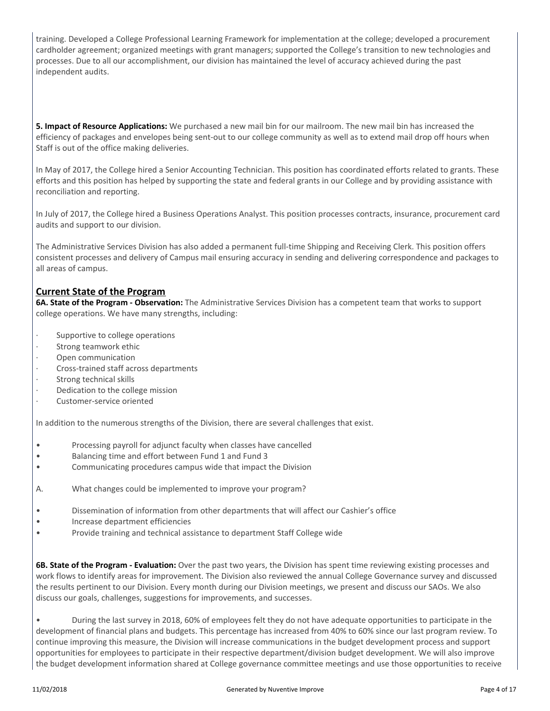training. Developed a College Professional Learning Framework for implementation at the college; developed a procurement cardholder agreement; organized meetings with grant managers; supported the College's transition to new technologies and processes. Due to all our accomplishment, our division has maintained the level of accuracy achieved during the past independent audits.

**5. Impact of Resource Applications:** We purchased a new mail bin for our mailroom. The new mail bin has increased the efficiency of packages and envelopes being sent-out to our college community as well as to extend mail drop off hours when Staff is out of the office making deliveries.

In May of 2017, the College hired a Senior Accounting Technician. This position has coordinated efforts related to grants. These efforts and this position has helped by supporting the state and federal grants in our College and by providing assistance with reconciliation and reporting.

In July of 2017, the College hired a Business Operations Analyst. This position processes contracts, insurance, procurement card audits and support to our division.

The Administrative Services Division has also added a permanent full-time Shipping and Receiving Clerk. This position offers consistent processes and delivery of Campus mail ensuring accuracy in sending and delivering correspondence and packages to all areas of campus.

# **Current State of the Program**

**6A. State of the Program - Observation:** The Administrative Services Division has a competent team that works to support college operations. We have many strengths, including:

- Supportive to college operations
- Strong teamwork ethic
- Open communication
- · Cross-trained staff across departments
- Strong technical skills
- Dedication to the college mission
- Customer-service oriented

In addition to the numerous strengths of the Division, there are several challenges that exist.

- Processing payroll for adjunct faculty when classes have cancelled
- Balancing time and effort between Fund 1 and Fund 3
- Communicating procedures campus wide that impact the Division
- A. What changes could be implemented to improve your program?
- Dissemination of information from other departments that will affect our Cashier's office
- Increase department efficiencies
- Provide training and technical assistance to department Staff College wide

**6B. State of the Program - Evaluation:** Over the past two years, the Division has spent time reviewing existing processes and work flows to identify areas for improvement. The Division also reviewed the annual College Governance survey and discussed the results pertinent to our Division. Every month during our Division meetings, we present and discuss our SAOs. We also discuss our goals, challenges, suggestions for improvements, and successes.

• During the last survey in 2018, 60% of employees felt they do not have adequate opportunities to participate in the development of financial plans and budgets. This percentage has increased from 40% to 60% since our last program review. To continue improving this measure, the Division will increase communications in the budget development process and support opportunities for employees to participate in their respective department/division budget development. We will also improve the budget development information shared at College governance committee meetings and use those opportunities to receive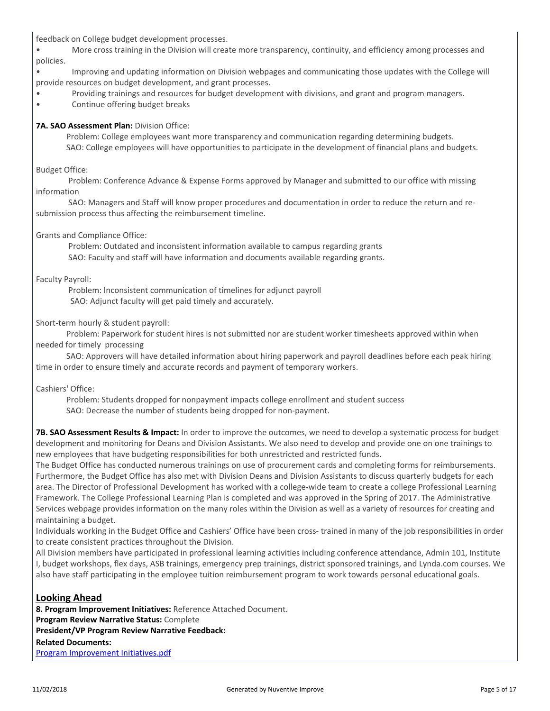feedback on College budget development processes.

• More cross training in the Division will create more transparency, continuity, and efficiency among processes and policies.

• Improving and updating information on Division webpages and communicating those updates with the College will provide resources on budget development, and grant processes.

- Providing trainings and resources for budget development with divisions, and grant and program managers.
- Continue offering budget breaks

#### **7A. SAO Assessment Plan: Division Office:**

 Problem: College employees want more transparency and communication regarding determining budgets. SAO: College employees will have opportunities to participate in the development of financial plans and budgets.

#### Budget Office:

 Problem: Conference Advance & Expense Forms approved by Manager and submitted to our office with missing information

 SAO: Managers and Staff will know proper procedures and documentation in order to reduce the return and resubmission process thus affecting the reimbursement timeline.

#### Grants and Compliance Office:

 Problem: Outdated and inconsistent information available to campus regarding grants SAO: Faculty and staff will have information and documents available regarding grants.

#### Faculty Payroll:

 Problem: Inconsistent communication of timelines for adjunct payroll SAO: Adjunct faculty will get paid timely and accurately.

#### Short-term hourly & student payroll:

 Problem: Paperwork for student hires is not submitted nor are student worker timesheets approved within when needed for timely processing

 SAO: Approvers will have detailed information about hiring paperwork and payroll deadlines before each peak hiring time in order to ensure timely and accurate records and payment of temporary workers.

Cashiers' Office:

 Problem: Students dropped for nonpayment impacts college enrollment and student success SAO: Decrease the number of students being dropped for non-payment.

**7B. SAO Assessment Results & Impact:** In order to improve the outcomes, we need to develop a systematic process for budget development and monitoring for Deans and Division Assistants. We also need to develop and provide one on one trainings to new employees that have budgeting responsibilities for both unrestricted and restricted funds.

The Budget Office has conducted numerous trainings on use of procurement cards and completing forms for reimbursements. Furthermore, the Budget Office has also met with Division Deans and Division Assistants to discuss quarterly budgets for each area. The Director of Professional Development has worked with a college-wide team to create a college Professional Learning Framework. The College Professional Learning Plan is completed and was approved in the Spring of 2017. The Administrative Services webpage provides information on the many roles within the Division as well as a variety of resources for creating and maintaining a budget.

Individuals working in the Budget Office and Cashiers' Office have been cross- trained in many of the job responsibilities in order to create consistent practices throughout the Division.

All Division members have participated in professional learning activities including conference attendance, Admin 101, Institute I, budget workshops, flex days, ASB trainings, emergency prep trainings, district sponsored trainings, and Lynda.com courses. We also have staff participating in the employee tuition reimbursement program to work towards personal educational goals.

### **Looking Ahead**

**8. Program Improvement Initiatives:** Reference Attached Document. **Program Review Narrative Status:** Complete **President/VP Program Review Narrative Feedback: Related Documents:** [Program Improvement Initiatives.pdf](https://sanmateo.tracdat.com:443/tracdat/viewDocument?y=WB7luFuCnKEV)